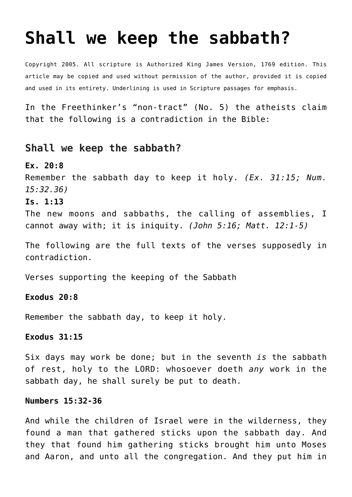# **[Shall we keep the sabbath?](http://reproachofmen.org/apologetics/shall-we-keep-the-sabbath/)**

Copyright 2005. All scripture is Authorized King James Version, 1769 edition. This article may be copied and used without permission of the author, provided it is copied and used in its entirety. Underlining is used in Scripture passages for emphasis.

In the Freethinker's "non-tract" (No. 5) the atheists claim that the following is a contradiction in the Bible:

## **Shall we keep the sabbath?**

### **Ex. 20:8**

Remember the sabbath day to keep it holy. *(Ex. 31:15; Num. 15:32.36)*

#### **Is. 1:13**

The new moons and sabbaths, the calling of assemblies, I cannot away with; it is iniquity. *(John 5:16; Matt. 12:1-5)*

The following are the full texts of the verses supposedly in contradiction.

Verses supporting the keeping of the Sabbath

#### **Exodus 20:8**

Remember the sabbath day, to keep it holy.

#### **Exodus 31:15**

Six days may work be done; but in the seventh *is* the sabbath of rest, holy to the LORD: whosoever doeth *any* work in the sabbath day, he shall surely be put to death.

#### **Numbers 15:32-36**

And while the children of Israel were in the wilderness, they found a man that gathered sticks upon the sabbath day. And they that found him gathering sticks brought him unto Moses and Aaron, and unto all the congregation. And they put him in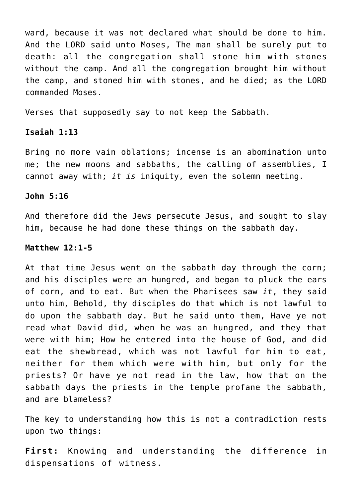ward, because it was not declared what should be done to him. And the LORD said unto Moses, The man shall be surely put to death: all the congregation shall stone him with stones without the camp. And all the congregation brought him without the camp, and stoned him with stones, and he died; as the LORD commanded Moses.

Verses that supposedly say to not keep the Sabbath.

#### **Isaiah 1:13**

Bring no more vain oblations; incense is an abomination unto me; the new moons and sabbaths, the calling of assemblies, I cannot away with; *it is* iniquity, even the solemn meeting.

#### **John 5:16**

And therefore did the Jews persecute Jesus, and sought to slay him, because he had done these things on the sabbath day.

#### **Matthew 12:1-5**

At that time Jesus went on the sabbath day through the corn; and his disciples were an hungred, and began to pluck the ears of corn, and to eat. But when the Pharisees saw *it*, they said unto him, Behold, thy disciples do that which is not lawful to do upon the sabbath day. But he said unto them, Have ye not read what David did, when he was an hungred, and they that were with him; How he entered into the house of God, and did eat the shewbread, which was not lawful for him to eat, neither for them which were with him, but only for the priests? Or have ye not read in the law, how that on the sabbath days the priests in the temple profane the sabbath, and are blameless?

The key to understanding how this is not a contradiction rests upon two things:

**First:** Knowing and understanding the difference in dispensations of witness.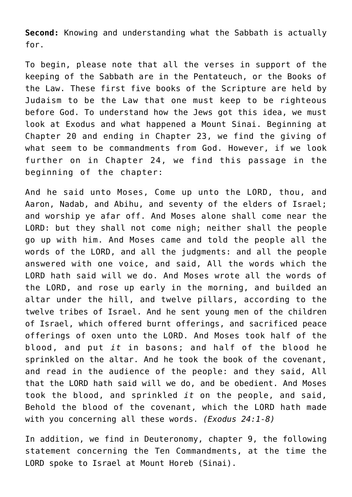**Second:** Knowing and understanding what the Sabbath is actually for.

To begin, please note that all the verses in support of the keeping of the Sabbath are in the Pentateuch, or the Books of the Law. These first five books of the Scripture are held by Judaism to be the Law that one must keep to be righteous before God. To understand how the Jews got this idea, we must look at Exodus and what happened a Mount Sinai. Beginning at Chapter 20 and ending in Chapter 23, we find the giving of what seem to be commandments from God. However, if we look further on in Chapter 24, we find this passage in the beginning of the chapter:

And he said unto Moses, Come up unto the LORD, thou, and Aaron, Nadab, and Abihu, and seventy of the elders of Israel; and worship ye afar off. And Moses alone shall come near the LORD: but they shall not come nigh; neither shall the people go up with him. And Moses came and told the people all the words of the LORD, and all the judgments: and all the people answered with one voice, and said, All the words which the LORD hath said will we do. And Moses wrote all the words of the LORD, and rose up early in the morning, and builded an altar under the hill, and twelve pillars, according to the twelve tribes of Israel. And he sent young men of the children of Israel, which offered burnt offerings, and sacrificed peace offerings of oxen unto the LORD. And Moses took half of the blood, and put *it* in basons; and half of the blood he sprinkled on the altar. And he took the book of the covenant, and read in the audience of the people: and they said, All that the LORD hath said will we do, and be obedient. And Moses took the blood, and sprinkled *it* on the people, and said, Behold the blood of the covenant, which the LORD hath made with you concerning all these words. *(Exodus 24:1-8)*

In addition, we find in Deuteronomy, chapter 9, the following statement concerning the Ten Commandments, at the time the LORD spoke to Israel at Mount Horeb (Sinai).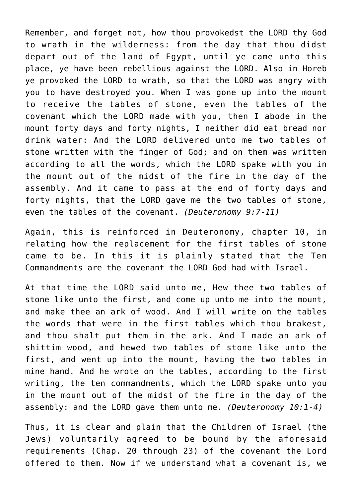Remember, and forget not, how thou provokedst the LORD thy God to wrath in the wilderness: from the day that thou didst depart out of the land of Egypt, until ye came unto this place, ye have been rebellious against the LORD. Also in Horeb ye provoked the LORD to wrath, so that the LORD was angry with you to have destroyed you. When I was gone up into the mount to receive the tables of stone, even the tables of the covenant which the LORD made with you, then I abode in the mount forty days and forty nights, I neither did eat bread nor drink water: And the LORD delivered unto me two tables of stone written with the finger of God; and on them was written according to all the words, which the LORD spake with you in the mount out of the midst of the fire in the day of the assembly. And it came to pass at the end of forty days and forty nights, that the LORD gave me the two tables of stone, even the tables of the covenant. *(Deuteronomy 9:7-11)*

Again, this is reinforced in Deuteronomy, chapter 10, in relating how the replacement for the first tables of stone came to be. In this it is plainly stated that the Ten Commandments are the covenant the LORD God had with Israel.

At that time the LORD said unto me, Hew thee two tables of stone like unto the first, and come up unto me into the mount, and make thee an ark of wood. And I will write on the tables the words that were in the first tables which thou brakest, and thou shalt put them in the ark. And I made an ark of shittim wood, and hewed two tables of stone like unto the first, and went up into the mount, having the two tables in mine hand. And he wrote on the tables, according to the first writing, the ten commandments, which the LORD spake unto you in the mount out of the midst of the fire in the day of the assembly: and the LORD gave them unto me. *(Deuteronomy 10:1-4)*

Thus, it is clear and plain that the Children of Israel (the Jews) voluntarily agreed to be bound by the aforesaid requirements (Chap. 20 through 23) of the covenant the Lord offered to them. Now if we understand what a covenant is, we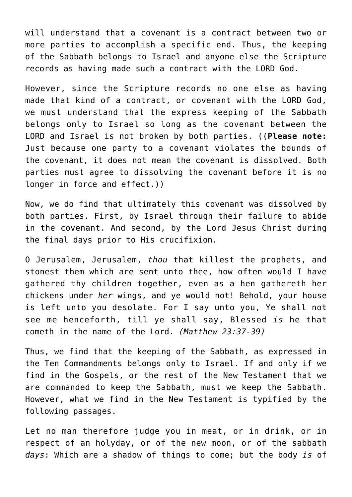will understand that a covenant is a contract between two or more parties to accomplish a specific end. Thus, the keeping of the Sabbath belongs to Israel and anyone else the Scripture records as having made such a contract with the LORD God.

However, since the Scripture records no one else as having made that kind of a contract, or covenant with the LORD God, we must understand that the express keeping of the Sabbath belongs only to Israel so long as the covenant between the LORD and Israel is not broken by both parties. ((**Please note:** Just because one party to a covenant violates the bounds of the covenant, it does not mean the covenant is dissolved. Both parties must agree to dissolving the covenant before it is no longer in force and effect.))

Now, we do find that ultimately this covenant was dissolved by both parties. First, by Israel through their failure to abide in the covenant. And second, by the Lord Jesus Christ during the final days prior to His crucifixion.

O Jerusalem, Jerusalem, *thou* that killest the prophets, and stonest them which are sent unto thee, how often would I have gathered thy children together, even as a hen gathereth her chickens under *her* wings, and ye would not! Behold, your house is left unto you desolate. For I say unto you, Ye shall not see me henceforth, till ye shall say, Blessed *is* he that cometh in the name of the Lord. *(Matthew 23:37-39)*

Thus, we find that the keeping of the Sabbath, as expressed in the Ten Commandments belongs only to Israel. If and only if we find in the Gospels, or the rest of the New Testament that we are commanded to keep the Sabbath, must we keep the Sabbath. However, what we find in the New Testament is typified by the following passages.

Let no man therefore judge you in meat, or in drink, or in respect of an holyday, or of the new moon, or of the sabbath *days*: Which are a shadow of things to come; but the body *is* of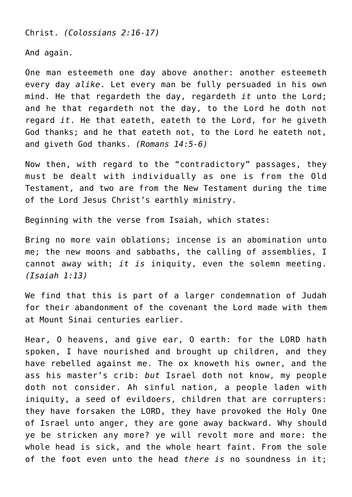Christ. *(Colossians 2:16-17)*

And again.

One man esteemeth one day above another: another esteemeth every day *alike*. Let every man be fully persuaded in his own mind. He that regardeth the day, regardeth *it* unto the Lord; and he that regardeth not the day, to the Lord he doth not regard *it*. He that eateth, eateth to the Lord, for he giveth God thanks; and he that eateth not, to the Lord he eateth not, and giveth God thanks. *(Romans 14:5-6)*

Now then, with regard to the "contradictory" passages, they must be dealt with individually as one is from the Old Testament, and two are from the New Testament during the time of the Lord Jesus Christ's earthly ministry.

Beginning with the verse from Isaiah, which states:

Bring no more vain oblations; incense is an abomination unto me; the new moons and sabbaths, the calling of assemblies, I cannot away with; *it is* iniquity, even the solemn meeting. *(Isaiah 1:13)*

We find that this is part of a larger condemnation of Judah for their abandonment of the covenant the Lord made with them at Mount Sinai centuries earlier.

Hear, O heavens, and give ear, O earth: for the LORD hath spoken, I have nourished and brought up children, and they have rebelled against me. The ox knoweth his owner, and the ass his master's crib: *but* Israel doth not know, my people doth not consider. Ah sinful nation, a people laden with iniquity, a seed of evildoers, children that are corrupters: they have forsaken the LORD, they have provoked the Holy One of Israel unto anger, they are gone away backward. Why should ye be stricken any more? ye will revolt more and more: the whole head is sick, and the whole heart faint. From the sole of the foot even unto the head *there is* no soundness in it;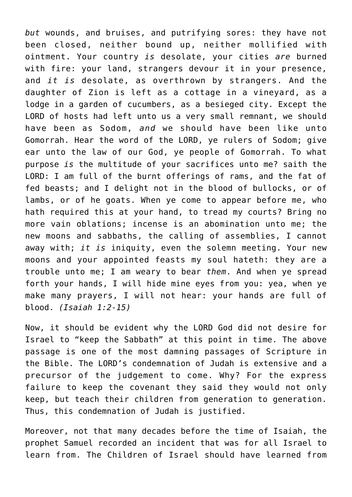*but* wounds, and bruises, and putrifying sores: they have not been closed, neither bound up, neither mollified with ointment. Your country *is* desolate, your cities *are* burned with fire: your land, strangers devour it in your presence, and *it is* desolate, as overthrown by strangers. And the daughter of Zion is left as a cottage in a vineyard, as a lodge in a garden of cucumbers, as a besieged city. Except the LORD of hosts had left unto us a very small remnant, we should have been as Sodom, *and* we should have been like unto Gomorrah. Hear the word of the LORD, ye rulers of Sodom; give ear unto the law of our God, ye people of Gomorrah. To what purpose *is* the multitude of your sacrifices unto me? saith the LORD: I am full of the burnt offerings of rams, and the fat of fed beasts; and I delight not in the blood of bullocks, or of lambs, or of he goats. When ye come to appear before me, who hath required this at your hand, to tread my courts? Bring no more vain oblations; incense is an abomination unto me; the new moons and sabbaths, the calling of assemblies, I cannot away with; *it is* iniquity, even the solemn meeting. Your new moons and your appointed feasts my soul hateth: they are a trouble unto me; I am weary to bear *them*. And when ye spread forth your hands, I will hide mine eyes from you: yea, when ye make many prayers, I will not hear: your hands are full of blood. *(Isaiah 1:2-15)*

Now, it should be evident why the LORD God did not desire for Israel to "keep the Sabbath" at this point in time. The above passage is one of the most damning passages of Scripture in the Bible. The LORD's condemnation of Judah is extensive and a precursor of the judgement to come. Why? For the express failure to keep the covenant they said they would not only keep, but teach their children from generation to generation. Thus, this condemnation of Judah is justified.

Moreover, not that many decades before the time of Isaiah, the prophet Samuel recorded an incident that was for all Israel to learn from. The Children of Israel should have learned from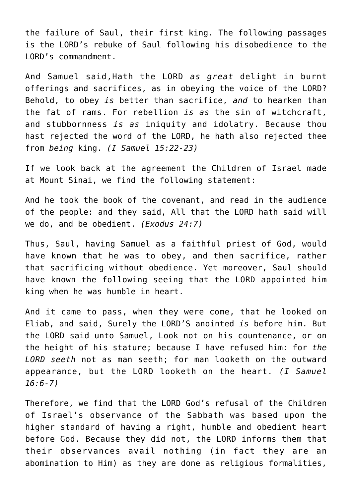the failure of Saul, their first king. The following passages is the LORD's rebuke of Saul following his disobedience to the LORD's commandment.

And Samuel said,Hath the LORD *as great* delight in burnt offerings and sacrifices, as in obeying the voice of the LORD? Behold, to obey *is* better than sacrifice, *and* to hearken than the fat of rams. For rebellion *is as* the sin of witchcraft, and stubbornness *is as* iniquity and idolatry. Because thou hast rejected the word of the LORD, he hath also rejected thee from *being* king. *(I Samuel 15:22-23)*

If we look back at the agreement the Children of Israel made at Mount Sinai, we find the following statement:

And he took the book of the covenant, and read in the audience of the people: and they said, All that the LORD hath said will we do, and be obedient. *(Exodus 24:7)*

Thus, Saul, having Samuel as a faithful priest of God, would have known that he was to obey, and then sacrifice, rather that sacrificing without obedience. Yet moreover, Saul should have known the following seeing that the LORD appointed him king when he was humble in heart.

And it came to pass, when they were come, that he looked on Eliab, and said, Surely the LORD'S anointed *is* before him. But the LORD said unto Samuel, Look not on his countenance, or on the height of his stature; because I have refused him: for *the LORD seeth* not as man seeth; for man looketh on the outward appearance, but the LORD looketh on the heart. *(I Samuel 16:6-7)*

Therefore, we find that the LORD God's refusal of the Children of Israel's observance of the Sabbath was based upon the higher standard of having a right, humble and obedient heart before God. Because they did not, the LORD informs them that their observances avail nothing (in fact they are an abomination to Him) as they are done as religious formalities,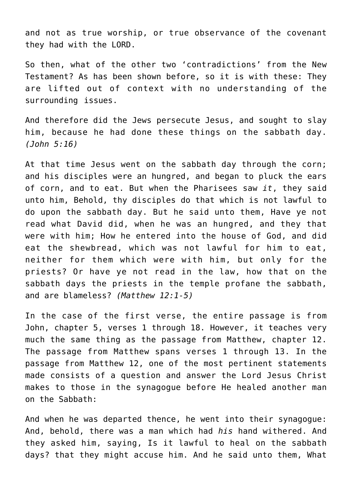and not as true worship, or true observance of the covenant they had with the LORD.

So then, what of the other two 'contradictions' from the New Testament? As has been shown before, so it is with these: They are lifted out of context with no understanding of the surrounding issues.

And therefore did the Jews persecute Jesus, and sought to slay him, because he had done these things on the sabbath day. *(John 5:16)*

At that time Jesus went on the sabbath day through the corn; and his disciples were an hungred, and began to pluck the ears of corn, and to eat. But when the Pharisees saw *it*, they said unto him, Behold, thy disciples do that which is not lawful to do upon the sabbath day. But he said unto them, Have ye not read what David did, when he was an hungred, and they that were with him; How he entered into the house of God, and did eat the shewbread, which was not lawful for him to eat, neither for them which were with him, but only for the priests? Or have ye not read in the law, how that on the sabbath days the priests in the temple profane the sabbath, and are blameless? *(Matthew 12:1-5)*

In the case of the first verse, the entire passage is from John, chapter 5, verses 1 through 18. However, it teaches very much the same thing as the passage from Matthew, chapter 12. The passage from Matthew spans verses 1 through 13. In the passage from Matthew 12, one of the most pertinent statements made consists of a question and answer the Lord Jesus Christ makes to those in the synagogue before He healed another man on the Sabbath:

And when he was departed thence, he went into their synagogue: And, behold, there was a man which had *his* hand withered. And they asked him, saying, Is it lawful to heal on the sabbath days? that they might accuse him. And he said unto them, What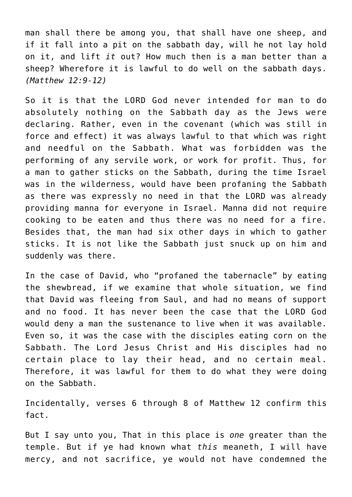man shall there be among you, that shall have one sheep, and if it fall into a pit on the sabbath day, will he not lay hold on it, and lift *it* out? How much then is a man better than a sheep? Wherefore it is lawful to do well on the sabbath days. *(Matthew 12:9-12)*

So it is that the LORD God never intended for man to do absolutely nothing on the Sabbath day as the Jews were declaring. Rather, even in the covenant (which was still in force and effect) it was always lawful to that which was right and needful on the Sabbath. What was forbidden was the performing of any servile work, or work for profit. Thus, for a man to gather sticks on the Sabbath, during the time Israel was in the wilderness, would have been profaning the Sabbath as there was expressly no need in that the LORD was already providing manna for everyone in Israel. Manna did not require cooking to be eaten and thus there was no need for a fire. Besides that, the man had six other days in which to gather sticks. It is not like the Sabbath just snuck up on him and suddenly was there.

In the case of David, who "profaned the tabernacle" by eating the shewbread, if we examine that whole situation, we find that David was fleeing from Saul, and had no means of support and no food. It has never been the case that the LORD God would deny a man the sustenance to live when it was available. Even so, it was the case with the disciples eating corn on the Sabbath. The Lord Jesus Christ and His disciples had no certain place to lay their head, and no certain meal. Therefore, it was lawful for them to do what they were doing on the Sabbath.

Incidentally, verses 6 through 8 of Matthew 12 confirm this fact.

But I say unto you, That in this place is *one* greater than the temple. But if ye had known what *this* meaneth, I will have mercy, and not sacrifice, ye would not have condemned the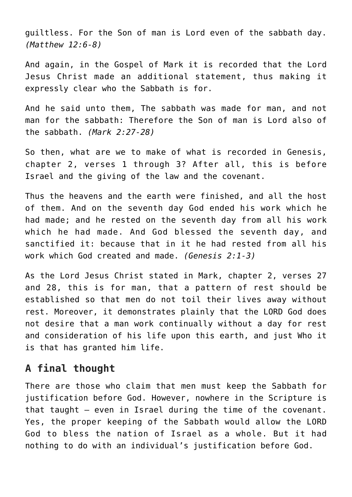guiltless. For the Son of man is Lord even of the sabbath day. *(Matthew 12:6-8)*

And again, in the Gospel of Mark it is recorded that the Lord Jesus Christ made an additional statement, thus making it expressly clear who the Sabbath is for.

And he said unto them, The sabbath was made for man, and not man for the sabbath: Therefore the Son of man is Lord also of the sabbath. *(Mark 2:27-28)*

So then, what are we to make of what is recorded in Genesis, chapter 2, verses 1 through 3? After all, this is before Israel and the giving of the law and the covenant.

Thus the heavens and the earth were finished, and all the host of them. And on the seventh day God ended his work which he had made; and he rested on the seventh day from all his work which he had made. And God blessed the seventh day, and sanctified it: because that in it he had rested from all his work which God created and made. *(Genesis 2:1-3)*

As the Lord Jesus Christ stated in Mark, chapter 2, verses 27 and 28, this is for man, that a pattern of rest should be established so that men do not toil their lives away without rest. Moreover, it demonstrates plainly that the LORD God does not desire that a man work continually without a day for rest and consideration of his life upon this earth, and just Who it is that has granted him life.

## **A final thought**

There are those who claim that men must keep the Sabbath for justification before God. However, nowhere in the Scripture is that taught — even in Israel during the time of the covenant. Yes, the proper keeping of the Sabbath would allow the LORD God to bless the nation of Israel as a whole. But it had nothing to do with an individual's justification before God.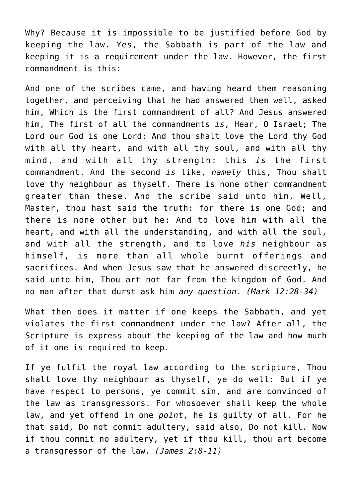Why? Because it is impossible to be justified before God by keeping the law. Yes, the Sabbath is part of the law and keeping it is a requirement under the law. However, the first commandment is this:

And one of the scribes came, and having heard them reasoning together, and perceiving that he had answered them well, asked him, Which is the first commandment of all? And Jesus answered him, The first of all the commandments *is*, Hear, O Israel; The Lord our God is one Lord: And thou shalt love the Lord thy God with all thy heart, and with all thy soul, and with all thy mind, and with all thy strength: this *is* the first commandment. And the second *is* like, *namely* this, Thou shalt love thy neighbour as thyself. There is none other commandment greater than these. And the scribe said unto him, Well, Master, thou hast said the truth: for there is one God; and there is none other but he: And to love him with all the heart, and with all the understanding, and with all the soul, and with all the strength, and to love *his* neighbour as himself, is more than all whole burnt offerings and sacrifices. And when Jesus saw that he answered discreetly, he said unto him, Thou art not far from the kingdom of God. And no man after that durst ask him *any question*. *(Mark 12:28-34)*

What then does it matter if one keeps the Sabbath, and yet violates the first commandment under the law? After all, the Scripture is express about the keeping of the law and how much of it one is required to keep.

If ye fulfil the royal law according to the scripture, Thou shalt love thy neighbour as thyself, ye do well: But if ye have respect to persons, ye commit sin, and are convinced of the law as transgressors. For whosoever shall keep the whole law, and yet offend in one *point*, he is guilty of all. For he that said, Do not commit adultery, said also, Do not kill. Now if thou commit no adultery, yet if thou kill, thou art become a transgressor of the law. *(James 2:8-11)*